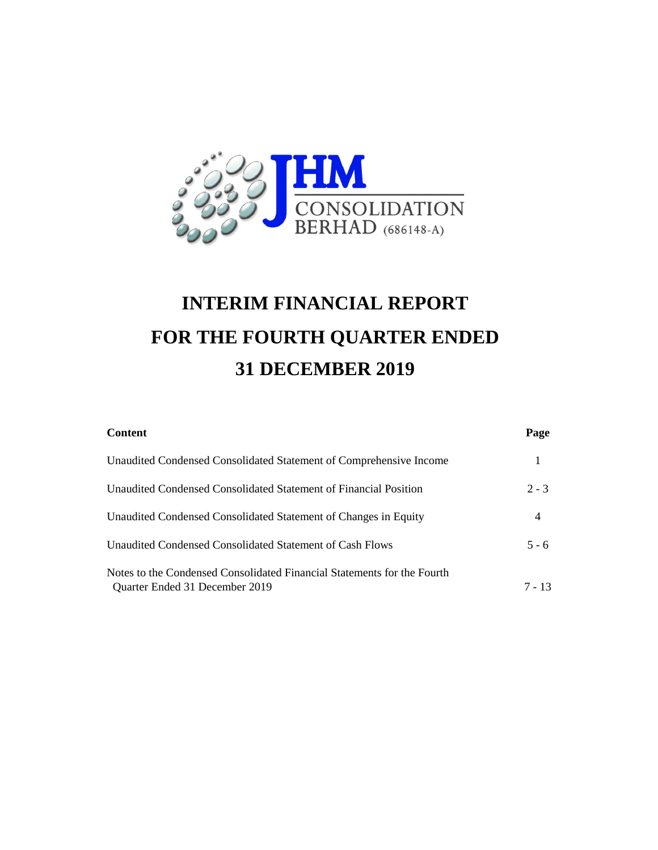

# **INTERIM FINANCIAL REPORT FOR THE FOURTH QUARTER ENDED 31 DECEMBER 2019**

| <b>Content</b>                                                                                            | Page     |
|-----------------------------------------------------------------------------------------------------------|----------|
| Unaudited Condensed Consolidated Statement of Comprehensive Income                                        |          |
| Unaudited Condensed Consolidated Statement of Financial Position                                          | $2 - 3$  |
| Unaudited Condensed Consolidated Statement of Changes in Equity                                           | 4        |
| Unaudited Condensed Consolidated Statement of Cash Flows                                                  | $5 - 6$  |
| Notes to the Condensed Consolidated Financial Statements for the Fourth<br>Quarter Ended 31 December 2019 | $7 - 13$ |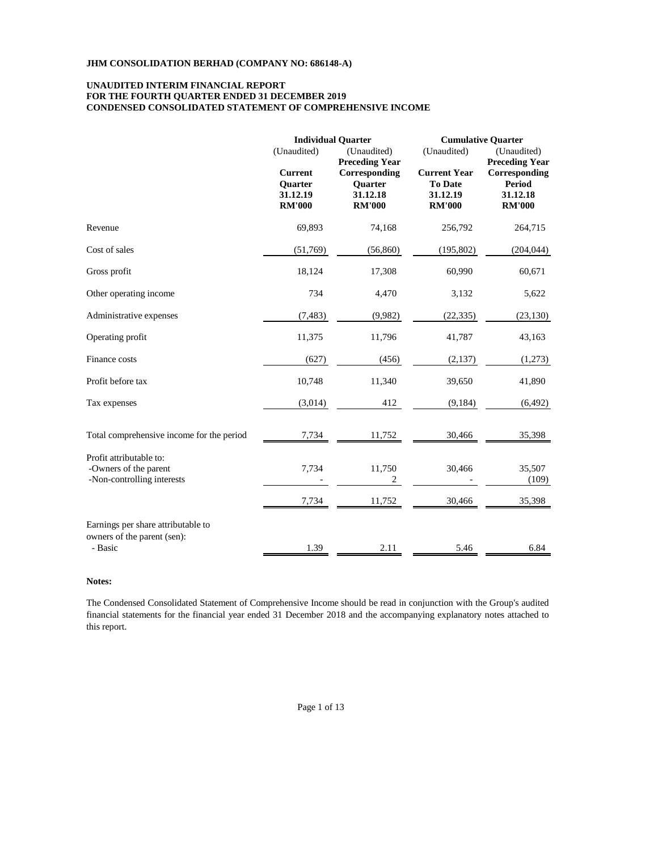# **FOR THE FOURTH QUARTER ENDED 31 DECEMBER 2019 CONDENSED CONSOLIDATED STATEMENT OF COMPREHENSIVE INCOME UNAUDITED INTERIM FINANCIAL REPORT**

|                                                                                | (Unaudited)                                            | <b>Individual Ouarter</b><br>(Unaudited)<br><b>Preceding Year</b> | (Unaudited)                                                        | <b>Cumulative Quarter</b><br>(Unaudited)<br><b>Preceding Year</b> |
|--------------------------------------------------------------------------------|--------------------------------------------------------|-------------------------------------------------------------------|--------------------------------------------------------------------|-------------------------------------------------------------------|
|                                                                                | <b>Current</b><br>Quarter<br>31.12.19<br><b>RM'000</b> | Corresponding<br>Quarter<br>31.12.18<br><b>RM'000</b>             | <b>Current Year</b><br><b>To Date</b><br>31.12.19<br><b>RM'000</b> | Corresponding<br><b>Period</b><br>31.12.18<br><b>RM'000</b>       |
| Revenue                                                                        | 69,893                                                 | 74,168                                                            | 256,792                                                            | 264,715                                                           |
| Cost of sales                                                                  | (51,769)                                               | (56, 860)                                                         | (195, 802)                                                         | (204, 044)                                                        |
| Gross profit                                                                   | 18,124                                                 | 17,308                                                            | 60,990                                                             | 60,671                                                            |
| Other operating income                                                         | 734                                                    | 4,470                                                             | 3,132                                                              | 5,622                                                             |
| Administrative expenses                                                        | (7, 483)                                               | (9,982)                                                           | (22, 335)                                                          | (23, 130)                                                         |
| Operating profit                                                               | 11,375                                                 | 11,796                                                            | 41,787                                                             | 43,163                                                            |
| Finance costs                                                                  | (627)                                                  | (456)                                                             | (2,137)                                                            | (1,273)                                                           |
| Profit before tax                                                              | 10,748                                                 | 11,340                                                            | 39,650                                                             | 41,890                                                            |
| Tax expenses                                                                   | (3,014)                                                | 412                                                               | (9,184)                                                            | (6,492)                                                           |
| Total comprehensive income for the period                                      | 7,734                                                  | 11,752                                                            | 30,466                                                             | 35,398                                                            |
| Profit attributable to:<br>-Owners of the parent<br>-Non-controlling interests | 7,734                                                  | 11,750<br>2                                                       | 30,466                                                             | 35,507<br>(109)                                                   |
|                                                                                | 7,734                                                  | 11,752                                                            | 30,466                                                             | 35,398                                                            |
| Earnings per share attributable to<br>owners of the parent (sen):              |                                                        |                                                                   |                                                                    |                                                                   |
| - Basic                                                                        | 1.39                                                   | 2.11                                                              | 5.46                                                               | 6.84                                                              |

## **Notes:**

The Condensed Consolidated Statement of Comprehensive Income should be read in conjunction with the Group's audited financial statements for the financial year ended 31 December 2018 and the accompanying explanatory notes attached to this report.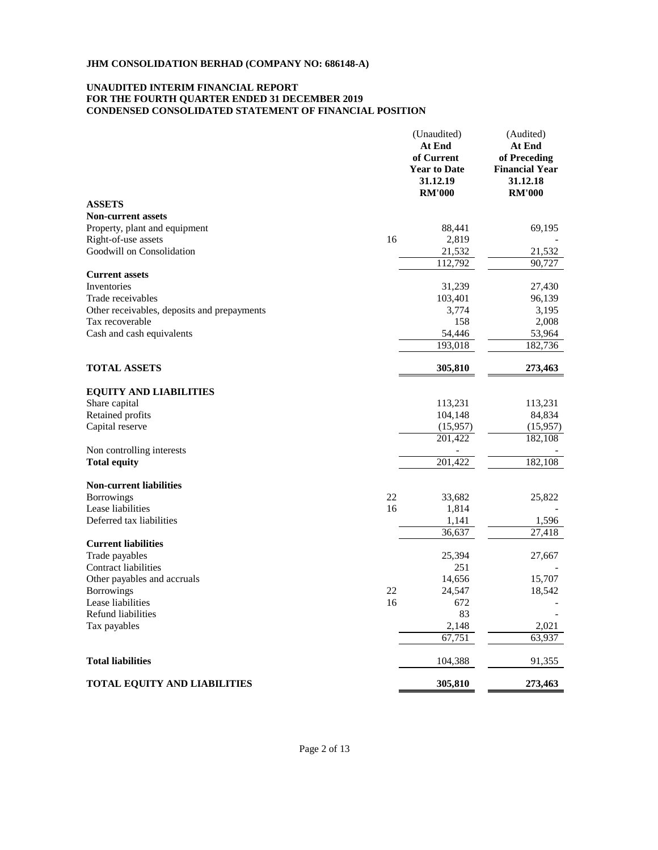# **CONDENSED CONSOLIDATED STATEMENT OF FINANCIAL POSITION UNAUDITED INTERIM FINANCIAL REPORT FOR THE FOURTH QUARTER ENDED 31 DECEMBER 2019**

|                                                  |    | (Unaudited)<br>At End<br>of Current<br><b>Year to Date</b><br>31.12.19<br><b>RM'000</b> | (Audited)<br>At End<br>of Preceding<br><b>Financial Year</b><br>31.12.18<br><b>RM'000</b> |
|--------------------------------------------------|----|-----------------------------------------------------------------------------------------|-------------------------------------------------------------------------------------------|
| <b>ASSETS</b>                                    |    |                                                                                         |                                                                                           |
| <b>Non-current assets</b>                        |    |                                                                                         |                                                                                           |
| Property, plant and equipment                    |    | 88,441                                                                                  | 69,195                                                                                    |
| Right-of-use assets                              | 16 | 2,819                                                                                   |                                                                                           |
| Goodwill on Consolidation                        |    | 21,532                                                                                  | 21,532                                                                                    |
|                                                  |    | 112,792                                                                                 | 90,727                                                                                    |
| <b>Current assets</b>                            |    |                                                                                         |                                                                                           |
| Inventories                                      |    | 31,239                                                                                  | 27,430                                                                                    |
| Trade receivables                                |    | 103,401                                                                                 | 96,139                                                                                    |
| Other receivables, deposits and prepayments      |    | 3,774                                                                                   | 3,195                                                                                     |
| Tax recoverable                                  |    | 158                                                                                     | 2,008                                                                                     |
| Cash and cash equivalents                        |    | 54,446                                                                                  | 53,964                                                                                    |
|                                                  |    | 193,018                                                                                 | 182,736                                                                                   |
| <b>TOTAL ASSETS</b>                              |    | 305,810                                                                                 | 273,463                                                                                   |
|                                                  |    |                                                                                         |                                                                                           |
| <b>EQUITY AND LIABILITIES</b>                    |    |                                                                                         |                                                                                           |
| Share capital                                    |    | 113,231                                                                                 | 113,231                                                                                   |
| Retained profits                                 |    | 104,148                                                                                 | 84,834                                                                                    |
| Capital reserve                                  |    | (15,957)                                                                                | (15,957)                                                                                  |
|                                                  |    | 201,422                                                                                 | 182,108                                                                                   |
| Non controlling interests<br><b>Total equity</b> |    | 201,422                                                                                 | 182,108                                                                                   |
|                                                  |    |                                                                                         |                                                                                           |
| <b>Non-current liabilities</b>                   |    |                                                                                         |                                                                                           |
| <b>Borrowings</b>                                | 22 | 33,682                                                                                  | 25,822                                                                                    |
| Lease liabilities                                | 16 | 1,814                                                                                   |                                                                                           |
| Deferred tax liabilities                         |    | 1,141                                                                                   | 1,596                                                                                     |
|                                                  |    | 36,637                                                                                  | 27,418                                                                                    |
| <b>Current liabilities</b>                       |    |                                                                                         |                                                                                           |
| Trade payables                                   |    | 25,394                                                                                  | 27,667                                                                                    |
| Contract liabilities                             |    | 251                                                                                     |                                                                                           |
| Other payables and accruals                      |    | 14,656                                                                                  | 15,707                                                                                    |
| <b>Borrowings</b>                                | 22 | 24,547                                                                                  | 18,542                                                                                    |
| Lease liabilities                                | 16 | 672                                                                                     |                                                                                           |
| Refund liabilities                               |    | 83                                                                                      |                                                                                           |
| Tax payables                                     |    | 2,148                                                                                   | 2,021                                                                                     |
|                                                  |    | 67,751                                                                                  | 63,937                                                                                    |
| <b>Total liabilities</b>                         |    | 104,388                                                                                 | 91,355                                                                                    |
| TOTAL EQUITY AND LIABILITIES                     |    | 305,810                                                                                 | 273,463                                                                                   |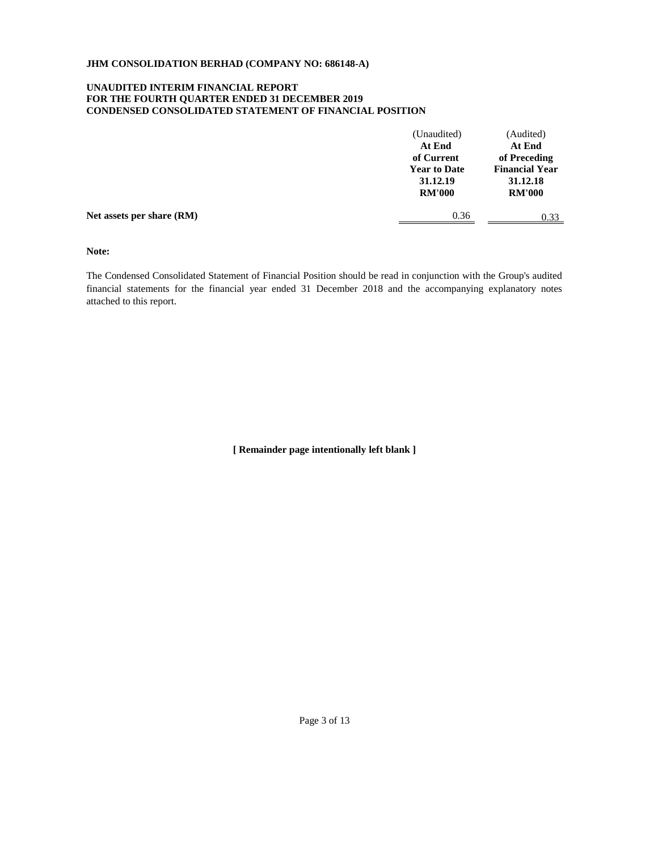# **UNAUDITED INTERIM FINANCIAL REPORT FOR THE FOURTH QUARTER ENDED 31 DECEMBER 2019 CONDENSED CONSOLIDATED STATEMENT OF FINANCIAL POSITION**

|                           | (Unaudited)<br>At End                                          | (Audited)<br>At End                                                |
|---------------------------|----------------------------------------------------------------|--------------------------------------------------------------------|
|                           | of Current<br><b>Year to Date</b><br>31.12.19<br><b>RM'000</b> | of Preceding<br><b>Financial Year</b><br>31.12.18<br><b>RM'000</b> |
| Net assets per share (RM) | 0.36                                                           | 0.33                                                               |

**Note:**

The Condensed Consolidated Statement of Financial Position should be read in conjunction with the Group's audited financial statements for the financial year ended 31 December 2018 and the accompanying explanatory notes attached to this report.

**[ Remainder page intentionally left blank ]**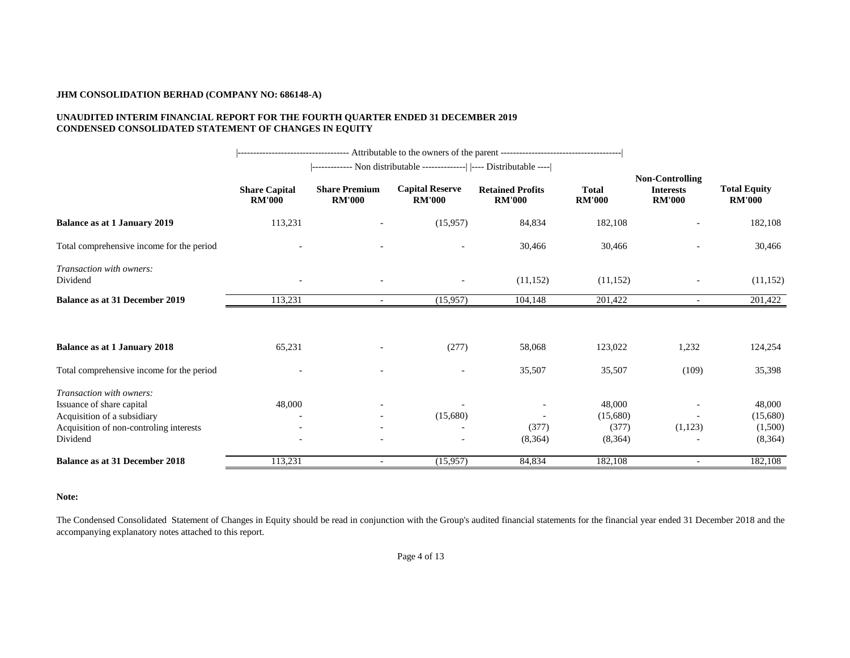# **UNAUDITED INTERIM FINANCIAL REPORT FOR THE FOURTH QUARTER ENDED 31 DECEMBER 2019 CONDENSED CONSOLIDATED STATEMENT OF CHANGES IN EQUITY**

|                                                                                                                                             |                                       |                                       | ------------- Non distributable --------------   ---- Distributable ---- |                                          |                                        |                                                             |                                          |
|---------------------------------------------------------------------------------------------------------------------------------------------|---------------------------------------|---------------------------------------|--------------------------------------------------------------------------|------------------------------------------|----------------------------------------|-------------------------------------------------------------|------------------------------------------|
|                                                                                                                                             | <b>Share Capital</b><br><b>RM'000</b> | <b>Share Premium</b><br><b>RM'000</b> | <b>Capital Reserve</b><br><b>RM'000</b>                                  | <b>Retained Profits</b><br><b>RM'000</b> | <b>Total</b><br><b>RM'000</b>          | <b>Non-Controlling</b><br><b>Interests</b><br><b>RM'000</b> | <b>Total Equity</b><br><b>RM'000</b>     |
| <b>Balance as at 1 January 2019</b>                                                                                                         | 113,231                               |                                       | (15,957)                                                                 | 84,834                                   | 182,108                                |                                                             | 182,108                                  |
| Total comprehensive income for the period                                                                                                   |                                       |                                       |                                                                          | 30,466                                   | 30,466                                 |                                                             | 30,466                                   |
| Transaction with owners:<br>Dividend                                                                                                        |                                       |                                       |                                                                          | (11, 152)                                | (11, 152)                              |                                                             | (11, 152)                                |
| <b>Balance as at 31 December 2019</b>                                                                                                       | 113,231                               |                                       | (15,957)                                                                 | 104,148                                  | 201,422                                |                                                             | 201,422                                  |
| <b>Balance as at 1 January 2018</b>                                                                                                         | 65,231                                |                                       | (277)                                                                    | 58,068                                   | 123,022                                | 1,232                                                       | 124,254                                  |
| Total comprehensive income for the period                                                                                                   |                                       |                                       | $\sim$                                                                   | 35,507                                   | 35,507                                 | (109)                                                       | 35,398                                   |
| Transaction with owners:<br>Issuance of share capital<br>Acquisition of a subsidiary<br>Acquisition of non-controling interests<br>Dividend | 48,000                                | $\overline{\phantom{a}}$              | (15,680)                                                                 | (377)<br>(8,364)                         | 48,000<br>(15,680)<br>(377)<br>(8,364) | (1,123)                                                     | 48,000<br>(15,680)<br>(1,500)<br>(8,364) |
| <b>Balance as at 31 December 2018</b>                                                                                                       | 113,231                               | $\blacksquare$                        | (15,957)                                                                 | 84,834                                   | 182,108                                | $\blacksquare$                                              | 182,108                                  |

# **Note:**

The Condensed Consolidated Statement of Changes in Equity should be read in conjunction with the Group's audited financial statements for the financial year ended 31 December 2018 and the accompanying explanatory notes attached to this report.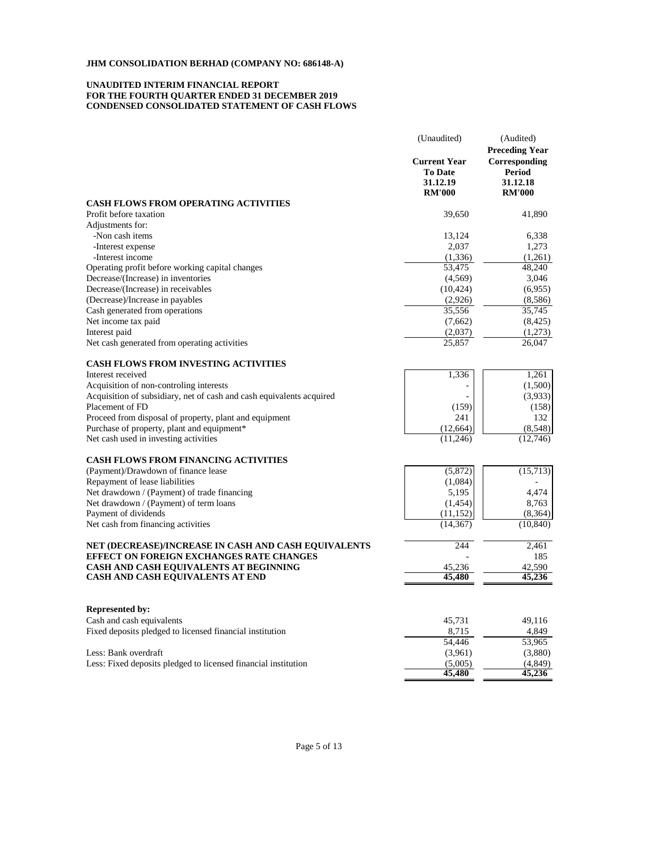# **UNAUDITED INTERIM FINANCIAL REPORT CONDENSED CONSOLIDATED STATEMENT OF CASH FLOWS FOR THE FOURTH QUARTER ENDED 31 DECEMBER 2019**

| <b>Preceding Year</b><br><b>Current Year</b><br>Corresponding<br><b>To Date</b><br>Period<br>31.12.19<br>31.12.18<br><b>RM'000</b><br><b>RM'000</b><br><b>CASH FLOWS FROM OPERATING ACTIVITIES</b><br>39.650<br>Profit before taxation<br>41,890<br>Adjustments for:<br>-Non cash items<br>13,124<br>6,338<br>-Interest expense<br>2,037<br>1,273<br>-Interest income<br>(1, 336)<br>(1,261)<br>53,475<br>48,240<br>Operating profit before working capital changes<br>Decrease/(Increase) in inventories<br>(4,569)<br>3,046<br>Decrease/(Increase) in receivables<br>(10, 424)<br>(6,955)<br>(Decrease)/Increase in payables<br>(2,926)<br>(8,586)<br>35,556<br>35,745<br>Cash generated from operations<br>(8, 425)<br>Net income tax paid<br>(7,662)<br>Interest paid<br>(1,273)<br>(2,037)<br>Net cash generated from operating activities<br>25,857<br>26,047<br><b>CASH FLOWS FROM INVESTING ACTIVITIES</b><br>1,261<br>Interest received<br>1,336<br>(1,500)<br>Acquisition of non-controling interests<br>Acquisition of subsidiary, net of cash and cash equivalents acquired<br>(3,933)<br>Placement of FD<br>(159)<br>(158)<br>Proceed from disposal of property, plant and equipment<br>132<br>241<br>Purchase of property, plant and equipment*<br>(12, 664)<br>(8,548)<br>Net cash used in investing activities<br>(11,246)<br>(12,746)<br><b>CASH FLOWS FROM FINANCING ACTIVITIES</b><br>(15,713)<br>(Payment)/Drawdown of finance lease<br>(5,872)<br>Repayment of lease liabilities<br>(1,084)<br>Net drawdown / (Payment) of trade financing<br>5,195<br>4.474<br>Net drawdown / (Payment) of term loans<br>8,763<br>(1, 454)<br>Payment of dividends<br>(11, 152)<br>(8,364)<br>Net cash from financing activities<br>(14, 367)<br>(10, 840)<br>NET (DECREASE)/INCREASE IN CASH AND CASH EQUIVALENTS<br>244<br>2,461<br><b>EFFECT ON FOREIGN EXCHANGES RATE CHANGES</b><br>185<br>CASH AND CASH EQUIVALENTS AT BEGINNING<br>42,590<br>45,236<br><b>CASH AND CASH EQUIVALENTS AT END</b><br>45,480<br>45,236<br><b>Represented by:</b><br>Cash and cash equivalents<br>45,731<br>49,116<br>Fixed deposits pledged to licensed financial institution<br>8,715<br>4,849<br>53,965<br>54,446<br>Less: Bank overdraft<br>(3,880)<br>(3,961)<br>Less: Fixed deposits pledged to licensed financial institution<br>(5,005)<br>(4, 849)<br>45,480<br>45,236 | (Unaudited) | (Audited) |  |
|-------------------------------------------------------------------------------------------------------------------------------------------------------------------------------------------------------------------------------------------------------------------------------------------------------------------------------------------------------------------------------------------------------------------------------------------------------------------------------------------------------------------------------------------------------------------------------------------------------------------------------------------------------------------------------------------------------------------------------------------------------------------------------------------------------------------------------------------------------------------------------------------------------------------------------------------------------------------------------------------------------------------------------------------------------------------------------------------------------------------------------------------------------------------------------------------------------------------------------------------------------------------------------------------------------------------------------------------------------------------------------------------------------------------------------------------------------------------------------------------------------------------------------------------------------------------------------------------------------------------------------------------------------------------------------------------------------------------------------------------------------------------------------------------------------------------------------------------------------------------------------------------------------------------------------------------------------------------------------------------------------------------------------------------------------------------------------------------------------------------------------------------------------------------------------------------------------------------------------------------------------------------------------------------------------------------------------------------------------------------------|-------------|-----------|--|
|                                                                                                                                                                                                                                                                                                                                                                                                                                                                                                                                                                                                                                                                                                                                                                                                                                                                                                                                                                                                                                                                                                                                                                                                                                                                                                                                                                                                                                                                                                                                                                                                                                                                                                                                                                                                                                                                                                                                                                                                                                                                                                                                                                                                                                                                                                                                                                         |             |           |  |
|                                                                                                                                                                                                                                                                                                                                                                                                                                                                                                                                                                                                                                                                                                                                                                                                                                                                                                                                                                                                                                                                                                                                                                                                                                                                                                                                                                                                                                                                                                                                                                                                                                                                                                                                                                                                                                                                                                                                                                                                                                                                                                                                                                                                                                                                                                                                                                         |             |           |  |
|                                                                                                                                                                                                                                                                                                                                                                                                                                                                                                                                                                                                                                                                                                                                                                                                                                                                                                                                                                                                                                                                                                                                                                                                                                                                                                                                                                                                                                                                                                                                                                                                                                                                                                                                                                                                                                                                                                                                                                                                                                                                                                                                                                                                                                                                                                                                                                         |             |           |  |
|                                                                                                                                                                                                                                                                                                                                                                                                                                                                                                                                                                                                                                                                                                                                                                                                                                                                                                                                                                                                                                                                                                                                                                                                                                                                                                                                                                                                                                                                                                                                                                                                                                                                                                                                                                                                                                                                                                                                                                                                                                                                                                                                                                                                                                                                                                                                                                         |             |           |  |
|                                                                                                                                                                                                                                                                                                                                                                                                                                                                                                                                                                                                                                                                                                                                                                                                                                                                                                                                                                                                                                                                                                                                                                                                                                                                                                                                                                                                                                                                                                                                                                                                                                                                                                                                                                                                                                                                                                                                                                                                                                                                                                                                                                                                                                                                                                                                                                         |             |           |  |
|                                                                                                                                                                                                                                                                                                                                                                                                                                                                                                                                                                                                                                                                                                                                                                                                                                                                                                                                                                                                                                                                                                                                                                                                                                                                                                                                                                                                                                                                                                                                                                                                                                                                                                                                                                                                                                                                                                                                                                                                                                                                                                                                                                                                                                                                                                                                                                         |             |           |  |
|                                                                                                                                                                                                                                                                                                                                                                                                                                                                                                                                                                                                                                                                                                                                                                                                                                                                                                                                                                                                                                                                                                                                                                                                                                                                                                                                                                                                                                                                                                                                                                                                                                                                                                                                                                                                                                                                                                                                                                                                                                                                                                                                                                                                                                                                                                                                                                         |             |           |  |
|                                                                                                                                                                                                                                                                                                                                                                                                                                                                                                                                                                                                                                                                                                                                                                                                                                                                                                                                                                                                                                                                                                                                                                                                                                                                                                                                                                                                                                                                                                                                                                                                                                                                                                                                                                                                                                                                                                                                                                                                                                                                                                                                                                                                                                                                                                                                                                         |             |           |  |
|                                                                                                                                                                                                                                                                                                                                                                                                                                                                                                                                                                                                                                                                                                                                                                                                                                                                                                                                                                                                                                                                                                                                                                                                                                                                                                                                                                                                                                                                                                                                                                                                                                                                                                                                                                                                                                                                                                                                                                                                                                                                                                                                                                                                                                                                                                                                                                         |             |           |  |
|                                                                                                                                                                                                                                                                                                                                                                                                                                                                                                                                                                                                                                                                                                                                                                                                                                                                                                                                                                                                                                                                                                                                                                                                                                                                                                                                                                                                                                                                                                                                                                                                                                                                                                                                                                                                                                                                                                                                                                                                                                                                                                                                                                                                                                                                                                                                                                         |             |           |  |
|                                                                                                                                                                                                                                                                                                                                                                                                                                                                                                                                                                                                                                                                                                                                                                                                                                                                                                                                                                                                                                                                                                                                                                                                                                                                                                                                                                                                                                                                                                                                                                                                                                                                                                                                                                                                                                                                                                                                                                                                                                                                                                                                                                                                                                                                                                                                                                         |             |           |  |
|                                                                                                                                                                                                                                                                                                                                                                                                                                                                                                                                                                                                                                                                                                                                                                                                                                                                                                                                                                                                                                                                                                                                                                                                                                                                                                                                                                                                                                                                                                                                                                                                                                                                                                                                                                                                                                                                                                                                                                                                                                                                                                                                                                                                                                                                                                                                                                         |             |           |  |
|                                                                                                                                                                                                                                                                                                                                                                                                                                                                                                                                                                                                                                                                                                                                                                                                                                                                                                                                                                                                                                                                                                                                                                                                                                                                                                                                                                                                                                                                                                                                                                                                                                                                                                                                                                                                                                                                                                                                                                                                                                                                                                                                                                                                                                                                                                                                                                         |             |           |  |
|                                                                                                                                                                                                                                                                                                                                                                                                                                                                                                                                                                                                                                                                                                                                                                                                                                                                                                                                                                                                                                                                                                                                                                                                                                                                                                                                                                                                                                                                                                                                                                                                                                                                                                                                                                                                                                                                                                                                                                                                                                                                                                                                                                                                                                                                                                                                                                         |             |           |  |
|                                                                                                                                                                                                                                                                                                                                                                                                                                                                                                                                                                                                                                                                                                                                                                                                                                                                                                                                                                                                                                                                                                                                                                                                                                                                                                                                                                                                                                                                                                                                                                                                                                                                                                                                                                                                                                                                                                                                                                                                                                                                                                                                                                                                                                                                                                                                                                         |             |           |  |
|                                                                                                                                                                                                                                                                                                                                                                                                                                                                                                                                                                                                                                                                                                                                                                                                                                                                                                                                                                                                                                                                                                                                                                                                                                                                                                                                                                                                                                                                                                                                                                                                                                                                                                                                                                                                                                                                                                                                                                                                                                                                                                                                                                                                                                                                                                                                                                         |             |           |  |
|                                                                                                                                                                                                                                                                                                                                                                                                                                                                                                                                                                                                                                                                                                                                                                                                                                                                                                                                                                                                                                                                                                                                                                                                                                                                                                                                                                                                                                                                                                                                                                                                                                                                                                                                                                                                                                                                                                                                                                                                                                                                                                                                                                                                                                                                                                                                                                         |             |           |  |
|                                                                                                                                                                                                                                                                                                                                                                                                                                                                                                                                                                                                                                                                                                                                                                                                                                                                                                                                                                                                                                                                                                                                                                                                                                                                                                                                                                                                                                                                                                                                                                                                                                                                                                                                                                                                                                                                                                                                                                                                                                                                                                                                                                                                                                                                                                                                                                         |             |           |  |
|                                                                                                                                                                                                                                                                                                                                                                                                                                                                                                                                                                                                                                                                                                                                                                                                                                                                                                                                                                                                                                                                                                                                                                                                                                                                                                                                                                                                                                                                                                                                                                                                                                                                                                                                                                                                                                                                                                                                                                                                                                                                                                                                                                                                                                                                                                                                                                         |             |           |  |
|                                                                                                                                                                                                                                                                                                                                                                                                                                                                                                                                                                                                                                                                                                                                                                                                                                                                                                                                                                                                                                                                                                                                                                                                                                                                                                                                                                                                                                                                                                                                                                                                                                                                                                                                                                                                                                                                                                                                                                                                                                                                                                                                                                                                                                                                                                                                                                         |             |           |  |
|                                                                                                                                                                                                                                                                                                                                                                                                                                                                                                                                                                                                                                                                                                                                                                                                                                                                                                                                                                                                                                                                                                                                                                                                                                                                                                                                                                                                                                                                                                                                                                                                                                                                                                                                                                                                                                                                                                                                                                                                                                                                                                                                                                                                                                                                                                                                                                         |             |           |  |
|                                                                                                                                                                                                                                                                                                                                                                                                                                                                                                                                                                                                                                                                                                                                                                                                                                                                                                                                                                                                                                                                                                                                                                                                                                                                                                                                                                                                                                                                                                                                                                                                                                                                                                                                                                                                                                                                                                                                                                                                                                                                                                                                                                                                                                                                                                                                                                         |             |           |  |
|                                                                                                                                                                                                                                                                                                                                                                                                                                                                                                                                                                                                                                                                                                                                                                                                                                                                                                                                                                                                                                                                                                                                                                                                                                                                                                                                                                                                                                                                                                                                                                                                                                                                                                                                                                                                                                                                                                                                                                                                                                                                                                                                                                                                                                                                                                                                                                         |             |           |  |
|                                                                                                                                                                                                                                                                                                                                                                                                                                                                                                                                                                                                                                                                                                                                                                                                                                                                                                                                                                                                                                                                                                                                                                                                                                                                                                                                                                                                                                                                                                                                                                                                                                                                                                                                                                                                                                                                                                                                                                                                                                                                                                                                                                                                                                                                                                                                                                         |             |           |  |
|                                                                                                                                                                                                                                                                                                                                                                                                                                                                                                                                                                                                                                                                                                                                                                                                                                                                                                                                                                                                                                                                                                                                                                                                                                                                                                                                                                                                                                                                                                                                                                                                                                                                                                                                                                                                                                                                                                                                                                                                                                                                                                                                                                                                                                                                                                                                                                         |             |           |  |
|                                                                                                                                                                                                                                                                                                                                                                                                                                                                                                                                                                                                                                                                                                                                                                                                                                                                                                                                                                                                                                                                                                                                                                                                                                                                                                                                                                                                                                                                                                                                                                                                                                                                                                                                                                                                                                                                                                                                                                                                                                                                                                                                                                                                                                                                                                                                                                         |             |           |  |
|                                                                                                                                                                                                                                                                                                                                                                                                                                                                                                                                                                                                                                                                                                                                                                                                                                                                                                                                                                                                                                                                                                                                                                                                                                                                                                                                                                                                                                                                                                                                                                                                                                                                                                                                                                                                                                                                                                                                                                                                                                                                                                                                                                                                                                                                                                                                                                         |             |           |  |
|                                                                                                                                                                                                                                                                                                                                                                                                                                                                                                                                                                                                                                                                                                                                                                                                                                                                                                                                                                                                                                                                                                                                                                                                                                                                                                                                                                                                                                                                                                                                                                                                                                                                                                                                                                                                                                                                                                                                                                                                                                                                                                                                                                                                                                                                                                                                                                         |             |           |  |
|                                                                                                                                                                                                                                                                                                                                                                                                                                                                                                                                                                                                                                                                                                                                                                                                                                                                                                                                                                                                                                                                                                                                                                                                                                                                                                                                                                                                                                                                                                                                                                                                                                                                                                                                                                                                                                                                                                                                                                                                                                                                                                                                                                                                                                                                                                                                                                         |             |           |  |
|                                                                                                                                                                                                                                                                                                                                                                                                                                                                                                                                                                                                                                                                                                                                                                                                                                                                                                                                                                                                                                                                                                                                                                                                                                                                                                                                                                                                                                                                                                                                                                                                                                                                                                                                                                                                                                                                                                                                                                                                                                                                                                                                                                                                                                                                                                                                                                         |             |           |  |
|                                                                                                                                                                                                                                                                                                                                                                                                                                                                                                                                                                                                                                                                                                                                                                                                                                                                                                                                                                                                                                                                                                                                                                                                                                                                                                                                                                                                                                                                                                                                                                                                                                                                                                                                                                                                                                                                                                                                                                                                                                                                                                                                                                                                                                                                                                                                                                         |             |           |  |
|                                                                                                                                                                                                                                                                                                                                                                                                                                                                                                                                                                                                                                                                                                                                                                                                                                                                                                                                                                                                                                                                                                                                                                                                                                                                                                                                                                                                                                                                                                                                                                                                                                                                                                                                                                                                                                                                                                                                                                                                                                                                                                                                                                                                                                                                                                                                                                         |             |           |  |
|                                                                                                                                                                                                                                                                                                                                                                                                                                                                                                                                                                                                                                                                                                                                                                                                                                                                                                                                                                                                                                                                                                                                                                                                                                                                                                                                                                                                                                                                                                                                                                                                                                                                                                                                                                                                                                                                                                                                                                                                                                                                                                                                                                                                                                                                                                                                                                         |             |           |  |
|                                                                                                                                                                                                                                                                                                                                                                                                                                                                                                                                                                                                                                                                                                                                                                                                                                                                                                                                                                                                                                                                                                                                                                                                                                                                                                                                                                                                                                                                                                                                                                                                                                                                                                                                                                                                                                                                                                                                                                                                                                                                                                                                                                                                                                                                                                                                                                         |             |           |  |
|                                                                                                                                                                                                                                                                                                                                                                                                                                                                                                                                                                                                                                                                                                                                                                                                                                                                                                                                                                                                                                                                                                                                                                                                                                                                                                                                                                                                                                                                                                                                                                                                                                                                                                                                                                                                                                                                                                                                                                                                                                                                                                                                                                                                                                                                                                                                                                         |             |           |  |
|                                                                                                                                                                                                                                                                                                                                                                                                                                                                                                                                                                                                                                                                                                                                                                                                                                                                                                                                                                                                                                                                                                                                                                                                                                                                                                                                                                                                                                                                                                                                                                                                                                                                                                                                                                                                                                                                                                                                                                                                                                                                                                                                                                                                                                                                                                                                                                         |             |           |  |
|                                                                                                                                                                                                                                                                                                                                                                                                                                                                                                                                                                                                                                                                                                                                                                                                                                                                                                                                                                                                                                                                                                                                                                                                                                                                                                                                                                                                                                                                                                                                                                                                                                                                                                                                                                                                                                                                                                                                                                                                                                                                                                                                                                                                                                                                                                                                                                         |             |           |  |
|                                                                                                                                                                                                                                                                                                                                                                                                                                                                                                                                                                                                                                                                                                                                                                                                                                                                                                                                                                                                                                                                                                                                                                                                                                                                                                                                                                                                                                                                                                                                                                                                                                                                                                                                                                                                                                                                                                                                                                                                                                                                                                                                                                                                                                                                                                                                                                         |             |           |  |
|                                                                                                                                                                                                                                                                                                                                                                                                                                                                                                                                                                                                                                                                                                                                                                                                                                                                                                                                                                                                                                                                                                                                                                                                                                                                                                                                                                                                                                                                                                                                                                                                                                                                                                                                                                                                                                                                                                                                                                                                                                                                                                                                                                                                                                                                                                                                                                         |             |           |  |
|                                                                                                                                                                                                                                                                                                                                                                                                                                                                                                                                                                                                                                                                                                                                                                                                                                                                                                                                                                                                                                                                                                                                                                                                                                                                                                                                                                                                                                                                                                                                                                                                                                                                                                                                                                                                                                                                                                                                                                                                                                                                                                                                                                                                                                                                                                                                                                         |             |           |  |
|                                                                                                                                                                                                                                                                                                                                                                                                                                                                                                                                                                                                                                                                                                                                                                                                                                                                                                                                                                                                                                                                                                                                                                                                                                                                                                                                                                                                                                                                                                                                                                                                                                                                                                                                                                                                                                                                                                                                                                                                                                                                                                                                                                                                                                                                                                                                                                         |             |           |  |
|                                                                                                                                                                                                                                                                                                                                                                                                                                                                                                                                                                                                                                                                                                                                                                                                                                                                                                                                                                                                                                                                                                                                                                                                                                                                                                                                                                                                                                                                                                                                                                                                                                                                                                                                                                                                                                                                                                                                                                                                                                                                                                                                                                                                                                                                                                                                                                         |             |           |  |
|                                                                                                                                                                                                                                                                                                                                                                                                                                                                                                                                                                                                                                                                                                                                                                                                                                                                                                                                                                                                                                                                                                                                                                                                                                                                                                                                                                                                                                                                                                                                                                                                                                                                                                                                                                                                                                                                                                                                                                                                                                                                                                                                                                                                                                                                                                                                                                         |             |           |  |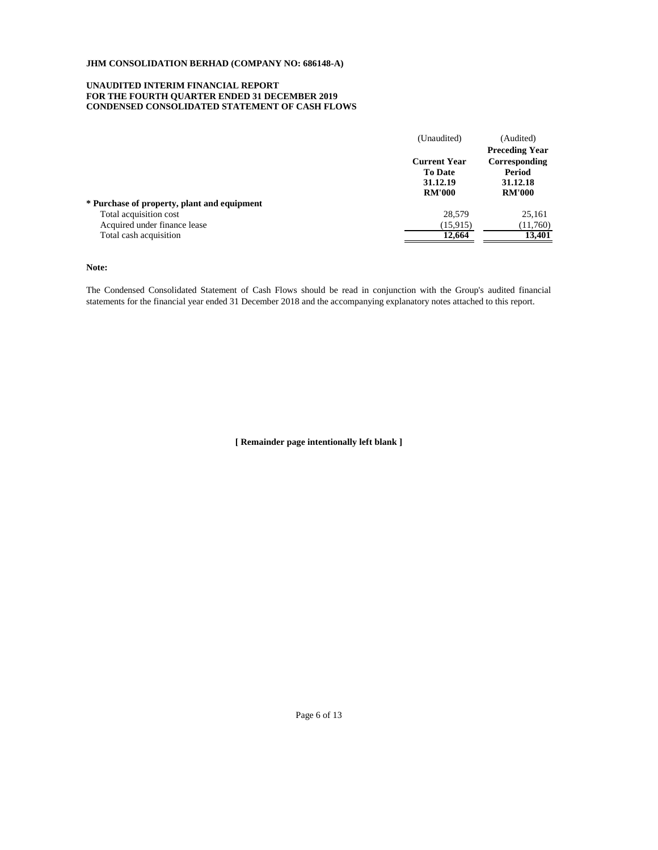# **UNAUDITED INTERIM FINANCIAL REPORT FOR THE FOURTH QUARTER ENDED 31 DECEMBER 2019 CONDENSED CONSOLIDATED STATEMENT OF CASH FLOWS**

|                                             | (Unaudited)         | (Audited)             |
|---------------------------------------------|---------------------|-----------------------|
|                                             |                     | <b>Preceding Year</b> |
|                                             | <b>Current Year</b> | Corresponding         |
|                                             | <b>To Date</b>      | Period                |
|                                             | 31.12.19            | 31.12.18              |
|                                             | <b>RM'000</b>       | <b>RM'000</b>         |
| * Purchase of property, plant and equipment |                     |                       |
| Total acquisition cost                      | 28.579              | 25,161                |
| Acquired under finance lease                | (15, 915)           | (11,760)              |
| Total cash acquisition                      | 12,664              | 13,401                |
|                                             |                     |                       |

# **Note:**

The Condensed Consolidated Statement of Cash Flows should be read in conjunction with the Group's audited financial statements for the financial year ended 31 December 2018 and the accompanying explanatory notes attached to this report.

**[ Remainder page intentionally left blank ]**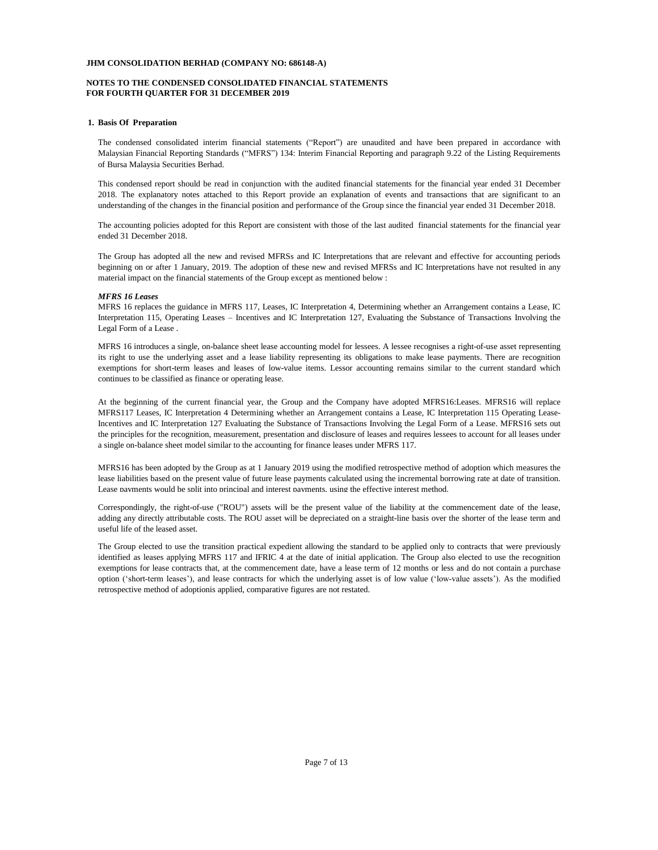# **NOTES TO THE CONDENSED CONSOLIDATED FINANCIAL STATEMENTS FOR FOURTH QUARTER FOR 31 DECEMBER 2019**

### **1. Basis Of Preparation**

The condensed consolidated interim financial statements ("Report") are unaudited and have been prepared in accordance with Malaysian Financial Reporting Standards ("MFRS") 134: Interim Financial Reporting and paragraph 9.22 of the Listing Requirements of Bursa Malaysia Securities Berhad.

This condensed report should be read in conjunction with the audited financial statements for the financial year ended 31 December 2018. The explanatory notes attached to this Report provide an explanation of events and transactions that are significant to an understanding of the changes in the financial position and performance of the Group since the financial year ended 31 December 2018.

The accounting policies adopted for this Report are consistent with those of the last audited financial statements for the financial year ended 31 December 2018.

The Group has adopted all the new and revised MFRSs and IC Interpretations that are relevant and effective for accounting periods beginning on or after 1 January, 2019. The adoption of these new and revised MFRSs and IC Interpretations have not resulted in any material impact on the financial statements of the Group except as mentioned below :

#### *MFRS 16 Leases*

MFRS 16 replaces the guidance in MFRS 117, Leases, IC Interpretation 4, Determining whether an Arrangement contains a Lease, IC Interpretation 115, Operating Leases – Incentives and IC Interpretation 127, Evaluating the Substance of Transactions Involving the Legal Form of a Lease .

MFRS 16 introduces a single, on-balance sheet lease accounting model for lessees. A lessee recognises a right-of-use asset representing its right to use the underlying asset and a lease liability representing its obligations to make lease payments. There are recognition exemptions for short-term leases and leases of low-value items. Lessor accounting remains similar to the current standard which continues to be classified as finance or operating lease.

At the beginning of the current financial year, the Group and the Company have adopted MFRS16:Leases. MFRS16 will replace MFRS117 Leases, IC Interpretation 4 Determining whether an Arrangement contains a Lease, IC Interpretation 115 Operating Lease-Incentives and IC Interpretation 127 Evaluating the Substance of Transactions Involving the Legal Form of a Lease. MFRS16 sets out the principles for the recognition, measurement, presentation and disclosure of leases and requires lessees to account for all leases under a single on-balance sheet model similar to the accounting for finance leases under MFRS 117.

MFRS16 has been adopted by the Group as at 1 January 2019 using the modified retrospective method of adoption which measures the lease liabilities based on the present value of future lease payments calculated using the incremental borrowing rate at date of transition. Lease payments would be split into principal and interest payments, using the effective interest method.

Correspondingly, the right-of-use ("ROU") assets will be the present value of the liability at the commencement date of the lease, adding any directly attributable costs. The ROU asset will be depreciated on a straight-line basis over the shorter of the lease term and useful life of the leased asset.

The Group elected to use the transition practical expedient allowing the standard to be applied only to contracts that were previously identified as leases applying MFRS 117 and IFRIC 4 at the date of initial application. The Group also elected to use the recognition exemptions for lease contracts that, at the commencement date, have a lease term of 12 months or less and do not contain a purchase option ('short-term leases'), and lease contracts for which the underlying asset is of low value ('low-value assets'). As the modified retrospective method of adoptionis applied, comparative figures are not restated.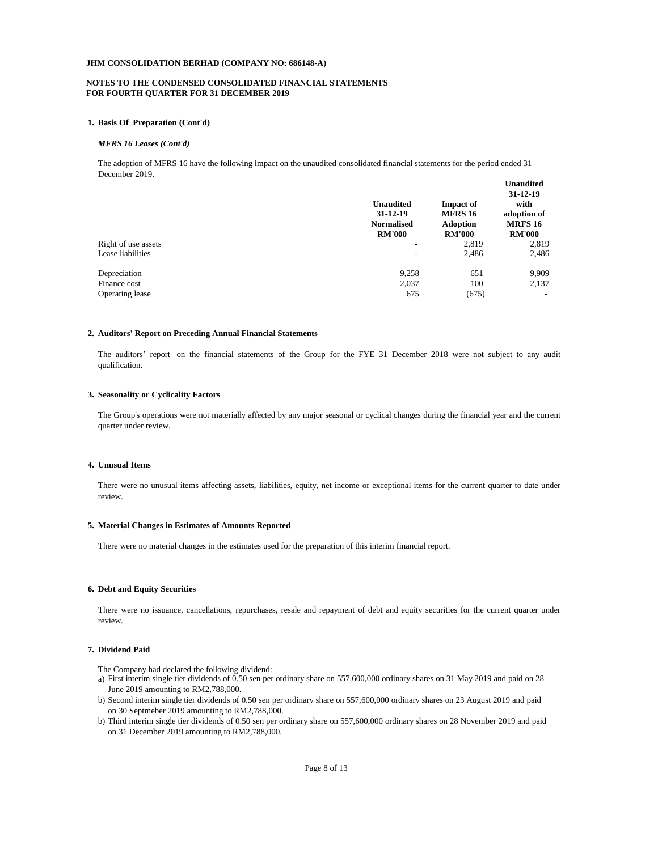# **FOR FOURTH QUARTER FOR 31 DECEMBER 2019 NOTES TO THE CONDENSED CONSOLIDATED FINANCIAL STATEMENTS**

# **1. Basis Of Preparation (Cont'd)**

#### *MFRS 16 Leases (Cont'd)*

The adoption of MFRS 16 have the following impact on the unaudited consolidated financial statements for the period ended 31 December 2019.

|                     | <b>Unaudited</b><br>$31 - 12 - 19$<br><b>Normalised</b><br><b>RM'000</b> | <b>Impact of</b><br><b>MFRS 16</b><br><b>Adoption</b><br><b>RM'000</b> | - waa wadda<br>31-12-19<br>with<br>adoption of<br><b>MRFS 16</b><br><b>RM'000</b> |
|---------------------|--------------------------------------------------------------------------|------------------------------------------------------------------------|-----------------------------------------------------------------------------------|
| Right of use assets | ۰                                                                        | 2,819                                                                  | 2,819                                                                             |
|                     |                                                                          |                                                                        |                                                                                   |
| Lease liabilities   | ۰                                                                        | 2,486                                                                  | 2,486                                                                             |
| Depreciation        | 9,258                                                                    | 651                                                                    | 9,909                                                                             |
| Finance cost        | 2,037                                                                    | 100                                                                    | 2,137                                                                             |
| Operating lease     | 675                                                                      | (675)                                                                  |                                                                                   |
|                     |                                                                          |                                                                        |                                                                                   |

**Unaudited** 

#### **2. Auditors' Report on Preceding Annual Financial Statements**

The auditors' report on the financial statements of the Group for the FYE 31 December 2018 were not subject to any audit qualification.

# **3. Seasonality or Cyclicality Factors**

The Group's operations were not materially affected by any major seasonal or cyclical changes during the financial year and the current quarter under review.

## **4. Unusual Items**

There were no unusual items affecting assets, liabilities, equity, net income or exceptional items for the current quarter to date under review.

### **5. Material Changes in Estimates of Amounts Reported**

There were no material changes in the estimates used for the preparation of this interim financial report.

#### **6. Debt and Equity Securities**

There were no issuance, cancellations, repurchases, resale and repayment of debt and equity securities for the current quarter under review.

# **7. Dividend Paid**

The Company had declared the following dividend:

- a) First interim single tier dividends of 0.50 sen per ordinary share on 557,600,000 ordinary shares on 31 May 2019 and paid on 28 June 2019 amounting to RM2,788,000.
- b) Second interim single tier dividends of 0.50 sen per ordinary share on 557,600,000 ordinary shares on 23 August 2019 and paid on 30 Septmeber 2019 amounting to RM2,788,000.
- b) Third interim single tier dividends of 0.50 sen per ordinary share on 557,600,000 ordinary shares on 28 November 2019 and paid on 31 December 2019 amounting to RM2,788,000.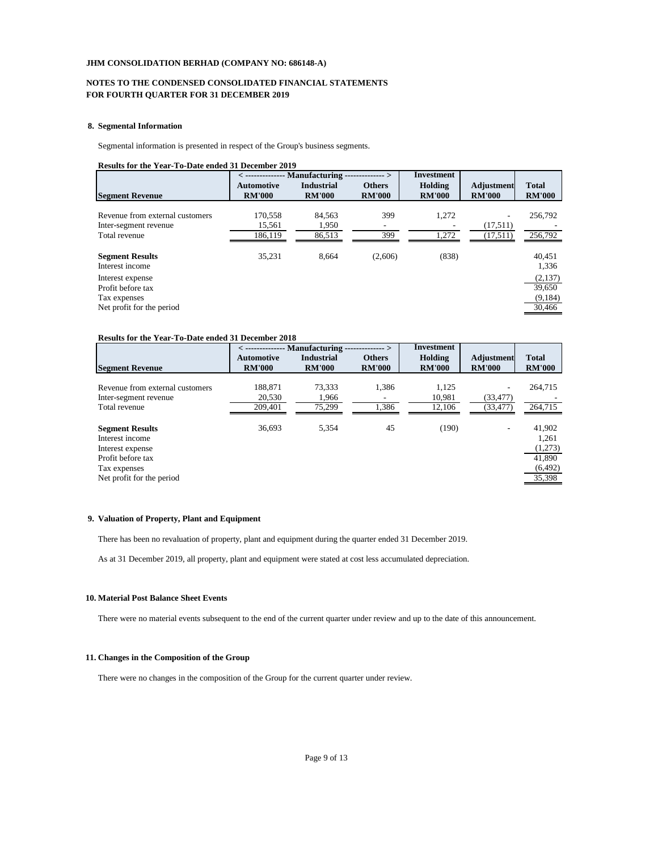# **NOTES TO THE CONDENSED CONSOLIDATED FINANCIAL STATEMENTS FOR FOURTH QUARTER FOR 31 DECEMBER 2019**

# **8. Segmental Information**

Segmental information is presented in respect of the Group's business segments.

# **Results for the Year-To-Date ended 31 December 2019**

|                                                                                    | $\langle$                          | -- Manufacturing -                 | ------ >                       | Investment               |                             |                                        |
|------------------------------------------------------------------------------------|------------------------------------|------------------------------------|--------------------------------|--------------------------|-----------------------------|----------------------------------------|
| <b>Segment Revenue</b>                                                             | <b>Automotive</b><br><b>RM'000</b> | <b>Industrial</b><br><b>RM'000</b> | <b>Others</b><br><b>RM'000</b> | Holding<br><b>RM'000</b> | Adjustment<br><b>RM'000</b> | <b>Total</b><br><b>RM'000</b>          |
| Revenue from external customers<br>Inter-segment revenue<br>Total revenue          | 170,558<br>15,561<br>186.119       | 84.563<br>1.950<br>86,513          | 399<br>۰<br>399                | 1,272<br>1,272           | ۰<br>(17,511)<br>(17,511)   | 256,792<br>256,792                     |
| <b>Segment Results</b><br>Interest income                                          | 35,231                             | 8.664                              | (2,606)                        | (838)                    |                             | 40.451<br>1,336                        |
| Interest expense<br>Profit before tax<br>Tax expenses<br>Net profit for the period |                                    |                                    |                                |                          |                             | (2,137)<br>39,650<br>(9,184)<br>30,466 |

#### **Results for the Year-To-Date ended 31 December 2018**

|                                 | $\langle$ -------------- Manufacturing -<br>----- > |                   |               | <b>Investment</b> |                   |               |
|---------------------------------|-----------------------------------------------------|-------------------|---------------|-------------------|-------------------|---------------|
|                                 | Automotive                                          | <b>Industrial</b> | <b>Others</b> | Holding           | <b>Adjustment</b> | <b>Total</b>  |
| <b>Segment Revenue</b>          | <b>RM'000</b>                                       | <b>RM'000</b>     | <b>RM'000</b> | <b>RM'000</b>     | <b>RM'000</b>     | <b>RM'000</b> |
|                                 |                                                     |                   |               |                   |                   |               |
| Revenue from external customers | 188,871                                             | 73,333            | 1,386         | 1,125             |                   | 264,715       |
| Inter-segment revenue           | 20.530                                              | 1.966             |               | 10.981            | (33.477)          |               |
| Total revenue                   | 209,401                                             | 75,299            | 1,386         | 12,106            | (33, 477)         | 264,715       |
|                                 |                                                     |                   |               |                   |                   |               |
| <b>Segment Results</b>          | 36.693                                              | 5.354             | 45            | (190)             | ۰                 | 41,902        |
| Interest income                 |                                                     |                   |               |                   |                   | 1,261         |
| Interest expense                |                                                     |                   |               |                   |                   | (1,273)       |
| Profit before tax               |                                                     |                   |               |                   |                   | 41,890        |
| Tax expenses                    |                                                     |                   |               |                   |                   | (6, 492)      |
| Net profit for the period       |                                                     |                   |               |                   |                   | 35,398        |
|                                 |                                                     |                   |               |                   |                   |               |

# **9. Valuation of Property, Plant and Equipment**

There has been no revaluation of property, plant and equipment during the quarter ended 31 December 2019.

As at 31 December 2019, all property, plant and equipment were stated at cost less accumulated depreciation.

# **10. Material Post Balance Sheet Events**

There were no material events subsequent to the end of the current quarter under review and up to the date of this announcement.

### **11. Changes in the Composition of the Group**

There were no changes in the composition of the Group for the current quarter under review.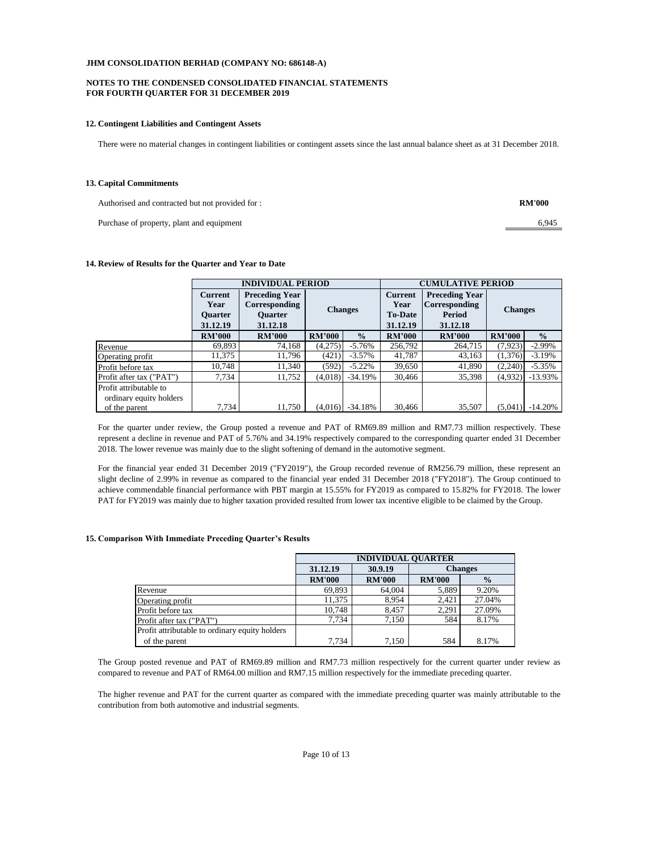## **FOR FOURTH QUARTER FOR 31 DECEMBER 2019 NOTES TO THE CONDENSED CONSOLIDATED FINANCIAL STATEMENTS**

#### **12. Contingent Liabilities and Contingent Assets**

There were no material changes in contingent liabilities or contingent assets since the last annual balance sheet as at 31 December 2018.

#### **13. Capital Commitments**

Authorised and contracted but not provided for :

Purchase of property, plant and equipment

**RM'000**

6,945

## **14. Review of Results for the Quarter and Year to Date**

|                          | <b>INDIVIDUAL PERIOD</b>   |                       |                                                                                                                       |               | <b>CUMULATIVE PERIOD</b> |               |                |               |
|--------------------------|----------------------------|-----------------------|-----------------------------------------------------------------------------------------------------------------------|---------------|--------------------------|---------------|----------------|---------------|
|                          | <b>Current</b>             | <b>Preceding Year</b> | <b>Current</b><br>Corresponding<br>Year<br><b>Changes</b><br><b>Ouarter</b><br><b>To-Date</b><br>31.12.18<br>31.12.19 |               | <b>Preceding Year</b>    |               |                |               |
|                          | Year                       |                       |                                                                                                                       |               | <b>Corresponding</b>     |               | <b>Changes</b> |               |
|                          | <b>Ouarter</b><br>31.12.19 |                       |                                                                                                                       |               | Period<br>31.12.18       |               |                |               |
|                          | <b>RM'000</b>              | <b>RM'000</b>         | <b>RM'000</b>                                                                                                         | $\frac{0}{0}$ | <b>RM'000</b>            | <b>RM'000</b> | <b>RM'000</b>  | $\frac{0}{0}$ |
| Revenue                  | 69.893                     | 74.168                | (4,275)                                                                                                               | $-5.76%$      | 256,792                  | 264,715       | (7, 923)       | $-2.99\%$     |
| Operating profit         | 11,375                     | 11,796                | (421)                                                                                                                 | $-3.57\%$     | 41,787                   | 43,163        | (1,376)        | $-3.19%$      |
| Profit before tax        | 10,748                     | 11,340                | (592)                                                                                                                 | $-5.22\%$     | 39,650                   | 41,890        | (2,240)        | $-5.35%$      |
| Profit after tax ("PAT") | 7,734                      | 11.752                | (4,018)                                                                                                               | $-34.19%$     | 30,466                   | 35,398        | (4,932)        | $-13.93\%$    |
| Profit attributable to   |                            |                       |                                                                                                                       |               |                          |               |                |               |
| ordinary equity holders  |                            |                       |                                                                                                                       |               |                          |               |                |               |
| of the parent            | 7,734                      | 11,750                | (4,016)                                                                                                               | $-34.18%$     | 30,466                   | 35,507        | (5,041)        | $-14.20%$     |

For the quarter under review, the Group posted a revenue and PAT of RM69.89 million and RM7.73 million respectively. These represent a decline in revenue and PAT of 5.76% and 34.19% respectively compared to the corresponding quarter ended 31 December 2018. The lower revenue was mainly due to the slight softening of demand in the automotive segment.

For the financial year ended 31 December 2019 ("FY2019"), the Group recorded revenue of RM256.79 million, these represent an slight decline of 2.99% in revenue as compared to the financial year ended 31 December 2018 ("FY2018"). The Group continued to achieve commendable financial performance with PBT margin at 15.55% for FY2019 as compared to 15.82% for FY2018. The lower PAT for FY2019 was mainly due to higher taxation provided resulted from lower tax incentive eligible to be claimed by the Group.

#### **15. Comparison With Immediate Preceding Quarter's Results**

|                                                | <b>INDIVIDUAL OUARTER</b>             |               |               |               |  |  |  |
|------------------------------------------------|---------------------------------------|---------------|---------------|---------------|--|--|--|
|                                                | 30.9.19<br><b>Changes</b><br>31.12.19 |               |               |               |  |  |  |
|                                                | <b>RM'000</b>                         | <b>RM'000</b> | <b>RM'000</b> | $\frac{0}{0}$ |  |  |  |
| Revenue                                        | 69.893                                | 64,004        | 5,889         | 9.20%         |  |  |  |
| Operating profit                               | 11.375                                | 8.954         | 2,421         | 27.04%        |  |  |  |
| Profit before tax                              | 10.748                                | 8.457         | 2.291         | 27.09%        |  |  |  |
| Profit after tax ("PAT")                       | 7.734                                 | 7.150         | 584           | 8.17%         |  |  |  |
| Profit attributable to ordinary equity holders |                                       |               |               |               |  |  |  |
| of the parent                                  | 7.734                                 | 7,150         | 584           | 8.17%         |  |  |  |

The Group posted revenue and PAT of RM69.89 million and RM7.73 million respectively for the current quarter under review as compared to revenue and PAT of RM64.00 million and RM7.15 million respectively for the immediate preceding quarter.

The higher revenue and PAT for the current quarter as compared with the immediate preceding quarter was mainly attributable to the contribution from both automotive and industrial segments.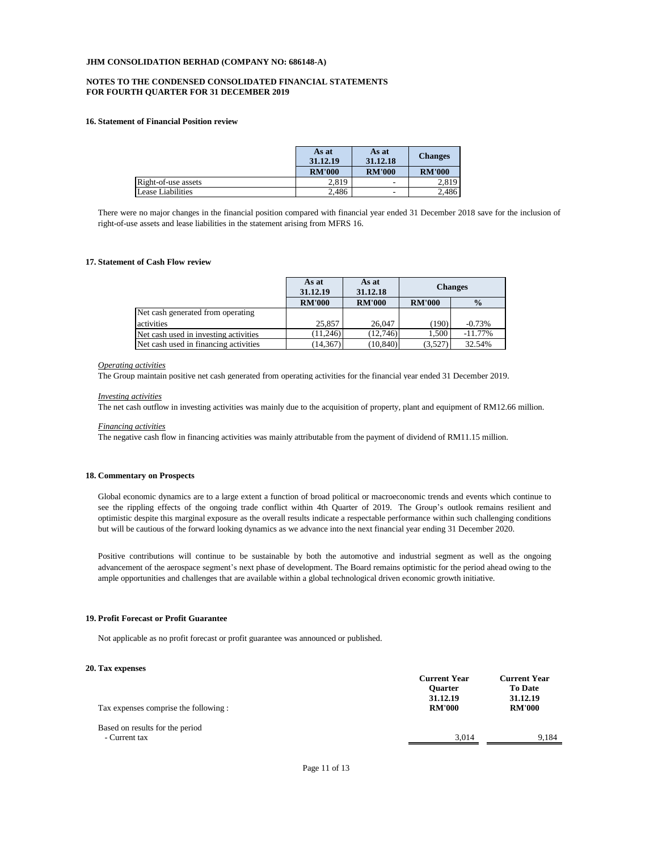# **NOTES TO THE CONDENSED CONSOLIDATED FINANCIAL STATEMENTS FOR FOURTH QUARTER FOR 31 DECEMBER 2019**

#### **16. Statement of Financial Position review**

|                     | As at<br>31.12.19 | As at<br>31.12.18 | <b>Changes</b> |
|---------------------|-------------------|-------------------|----------------|
|                     | <b>RM'000</b>     | <b>RM'000</b>     | <b>RM'000</b>  |
| Right-of-use assets | 2.819             | -                 | 2.819          |
| Lease Liabilities   | 2,486             | ٠                 | 2.486          |

There were no major changes in the financial position compared with financial year ended 31 December 2018 save for the inclusion of right-of-use assets and lease liabilities in the statement arising from MFRS 16.

#### **17. Statement of Cash Flow review**

|                                       | As at<br>31.12.19 | As at<br>31.12.18 | <b>Changes</b> |               |
|---------------------------------------|-------------------|-------------------|----------------|---------------|
|                                       | <b>RM'000</b>     | <b>RM'000</b>     | <b>RM'000</b>  | $\frac{0}{0}$ |
| Net cash generated from operating     |                   |                   |                |               |
| activities                            | 25,857            | 26,047            | (190)          | $-0.73%$      |
| Net cash used in investing activities | (11.246)          | (12,746)          | 1.500          | $-11.77\%$    |
| Net cash used in financing activities | (14, 367)         | (10, 840)         | (3,527)        | 32.54%        |

#### *Operating activities*

The Group maintain positive net cash generated from operating activities for the financial year ended 31 December 2019.

#### *Investing activities*

The net cash outflow in investing activities was mainly due to the acquisition of property, plant and equipment of RM12.66 million.

#### *Financing activities*

The negative cash flow in financing activities was mainly attributable from the payment of dividend of RM11.15 million.

## **18. Commentary on Prospects**

Global economic dynamics are to a large extent a function of broad political or macroeconomic trends and events which continue to see the rippling effects of the ongoing trade conflict within 4th Quarter of 2019. The Group's outlook remains resilient and optimistic despite this marginal exposure as the overall results indicate a respectable performance within such challenging conditions but will be cautious of the forward looking dynamics as we advance into the next financial year ending 31 December 2020.

Positive contributions will continue to be sustainable by both the automotive and industrial segment as well as the ongoing advancement of the aerospace segment's next phase of development. The Board remains optimistic for the period ahead owing to the ample opportunities and challenges that are available within a global technological driven economic growth initiative.

## **19. Profit Forecast or Profit Guarantee**

Not applicable as no profit forecast or profit guarantee was announced or published.

#### **20. Tax expenses**

| Tax expenses comprise the following :            | <b>Current Year</b><br><b>Ouarter</b><br>31.12.19<br><b>RM'000</b> | <b>Current Year</b><br><b>To Date</b><br>31.12.19<br><b>RM'000</b> |  |
|--------------------------------------------------|--------------------------------------------------------------------|--------------------------------------------------------------------|--|
| Based on results for the period<br>- Current tax | 3.014                                                              | 9.184                                                              |  |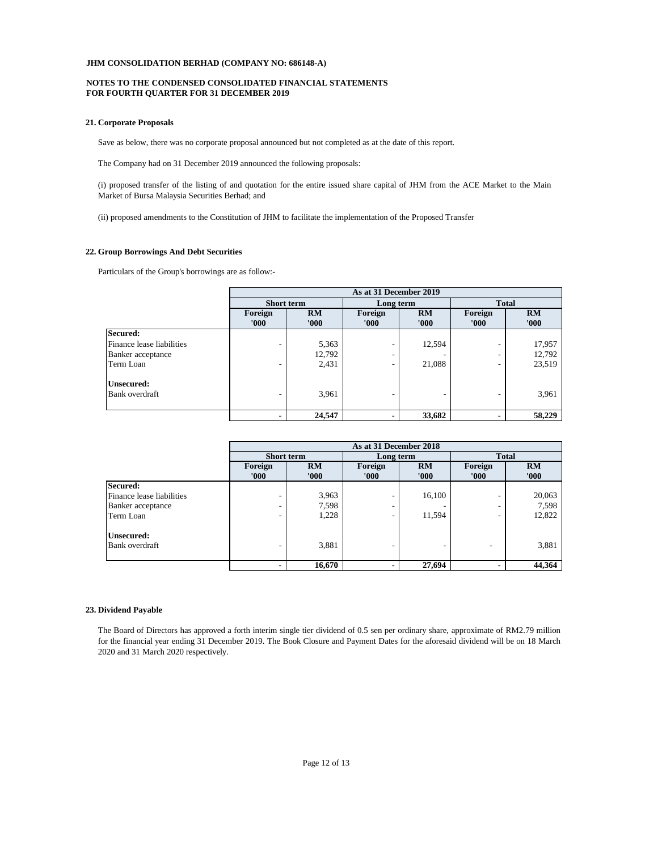# **FOR FOURTH QUARTER FOR 31 DECEMBER 2019 NOTES TO THE CONDENSED CONSOLIDATED FINANCIAL STATEMENTS**

# **21. Corporate Proposals**

Save as below, there was no corporate proposal announced but not completed as at the date of this report.

The Company had on 31 December 2019 announced the following proposals:

(i) proposed transfer of the listing of and quotation for the entire issued share capital of JHM from the ACE Market to the Main Market of Bursa Malaysia Securities Berhad; and

(ii) proposed amendments to the Constitution of JHM to facilitate the implementation of the Proposed Transfer

#### **22. Group Borrowings And Debt Securities**

Particulars of the Group's borrowings are as follow:-

|                           | As at 31 December 2019 |             |                 |             |                  |             |
|---------------------------|------------------------|-------------|-----------------|-------------|------------------|-------------|
|                           | <b>Short term</b>      |             | Long term       |             | <b>Total</b>     |             |
|                           | Foreign<br>'000'       | RM<br>'000' | Foreign<br>000' | RM<br>'000' | Foreign<br>'000' | RM<br>'000' |
| Secured:                  |                        |             |                 |             |                  |             |
| Finance lease liabilities | ۰                      | 5,363       |                 | 12,594      | ۰                | 17,957      |
| Banker acceptance         |                        | 12,792      |                 |             | ۰                | 12,792      |
| Term Loan                 | ۰                      | 2,431       | -               | 21,088      | ٠                | 23,519      |
| <b>Unsecured:</b>         |                        |             |                 |             |                  |             |
| Bank overdraft            | ۰                      | 3,961       |                 |             |                  | 3,961       |
|                           |                        | 24,547      |                 | 33,682      |                  | 58,229      |

|                           | As at 31 December 2018 |        |               |         |              |        |
|---------------------------|------------------------|--------|---------------|---------|--------------|--------|
|                           | <b>Short term</b>      |        | Long term     |         | <b>Total</b> |        |
|                           | Foreign                | RM     | RM<br>Foreign | Foreign | <b>RM</b>    |        |
|                           | '000'                  | '000'  | '000'         | '000'   | '000'        | '000'  |
| Secured:                  |                        |        |               |         |              |        |
| Finance lease liabilities |                        | 3,963  |               | 16,100  |              | 20,063 |
| Banker acceptance         | ۰                      | 7,598  |               |         |              | 7,598  |
| Term Loan                 | ٠                      | 1,228  |               | 11,594  | -            | 12,822 |
| <b>Unsecured:</b>         |                        |        |               |         |              |        |
| <b>Bank</b> overdraft     | -                      | 3,881  |               |         |              | 3,881  |
|                           | $\blacksquare$         | 16,670 |               | 27,694  |              | 44,364 |

# **23. Dividend Payable**

The Board of Directors has approved a forth interim single tier dividend of 0.5 sen per ordinary share, approximate of RM2.79 million for the financial year ending 31 December 2019. The Book Closure and Payment Dates for the aforesaid dividend will be on 18 March 2020 and 31 March 2020 respectively.